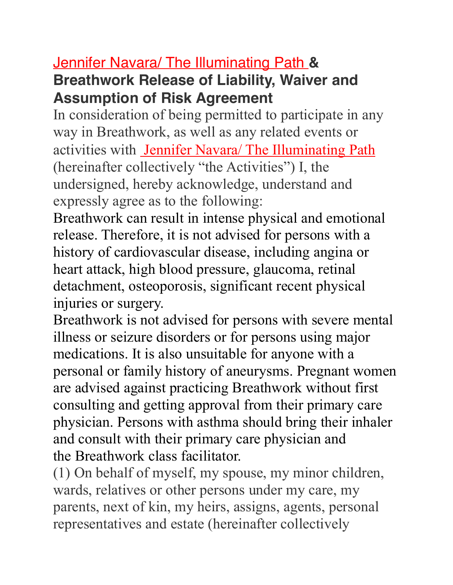## Jennifer Navara/ The Illuminating Path **& Breathwork Release of Liability, Waiver and Assumption of Risk Agreement**

In consideration of being permitted to participate in any way in Breathwork, as well as any related events or activities with Jennifer Navara/ The Illuminating Path (hereinafter collectively "the Activities") I, the undersigned, hereby acknowledge, understand and expressly agree as to the following:

Breathwork can result in intense physical and emotional release. Therefore, it is not advised for persons with a history of cardiovascular disease, including angina or heart attack, high blood pressure, glaucoma, retinal detachment, osteoporosis, significant recent physical injuries or surgery.

Breathwork is not advised for persons with severe mental illness or seizure disorders or for persons using major medications. It is also unsuitable for anyone with a personal or family history of aneurysms. Pregnant women are advised against practicing Breathwork without first consulting and getting approval from their primary care physician. Persons with asthma should bring their inhaler and consult with their primary care physician and the Breathwork class facilitator.

(1) On behalf of myself, my spouse, my minor children, wards, relatives or other persons under my care, my parents, next of kin, my heirs, assigns, agents, personal representatives and estate (hereinafter collectively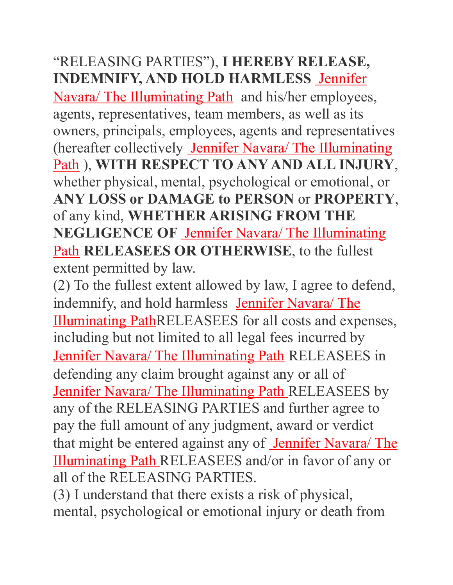## "RELEASING PARTIES"), **I HEREBY RELEASE, INDEMNIFY, AND HOLD HARMLESS** Jennifer

Navara/ The Illuminating Path and his/her employees, agents, representatives, team members, as well as its owners, principals, employees, agents and representatives (hereafter collectively Jennifer Navara/ The Illuminating Path ), **WITH RESPECT TO ANY AND ALL INJURY**, whether physical, mental, psychological or emotional, or **ANY LOSS or DAMAGE to PERSON** or **PROPERTY**, of any kind, **WHETHER ARISING FROM THE NEGLIGENCE OF** Jennifer Navara/ The Illuminating Path **RELEASEES OR OTHERWISE**, to the fullest extent permitted by law.

(2) To the fullest extent allowed by law, I agree to defend, indemnify, and hold harmless Jennifer Navara/ The Illuminating PathRELEASEES for all costs and expenses, including but not limited to all legal fees incurred by Jennifer Navara/ The Illuminating Path RELEASEES in defending any claim brought against any or all of Jennifer Navara/ The Illuminating Path RELEASEES by any of the RELEASING PARTIES and further agree to pay the full amount of any judgment, award or verdict that might be entered against any of Jennifer Navara/ The Illuminating Path RELEASEES and/or in favor of any or all of the RELEASING PARTIES.

(3) I understand that there exists a risk of physical, mental, psychological or emotional injury or death from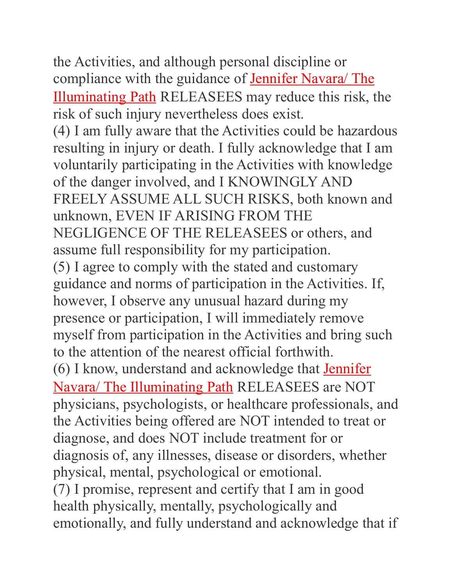the Activities, and although personal discipline or compliance with the guidance of **Jennifer Navara/ The** Illuminating Path RELEASEES may reduce this risk, the risk of such injury nevertheless does exist. (4) I am fully aware that the Activities could be hazardous resulting in injury or death. I fully acknowledge that I am voluntarily participating in the Activities with knowledge of the danger involved, and I KNOWINGLY AND FREELY ASSUME ALL SUCH RISKS, both known and unknown, EVEN IF ARISING FROM THE NEGLIGENCE OF THE RELEASEES or others, and assume full responsibility for my participation. (5) I agree to comply with the stated and customary guidance and norms of participation in the Activities. If, however, I observe any unusual hazard during my presence or participation, I will immediately remove myself from participation in the Activities and bring such to the attention of the nearest official forthwith. (6) I know, understand and acknowledge that Jennifer Navara/ The Illuminating Path RELEASEES are NOT physicians, psychologists, or healthcare professionals, and the Activities being offered are NOT intended to treat or diagnose, and does NOT include treatment for or diagnosis of, any illnesses, disease or disorders, whether physical, mental, psychological or emotional. (7) I promise, represent and certify that I am in good health physically, mentally, psychologically and emotionally, and fully understand and acknowledge that if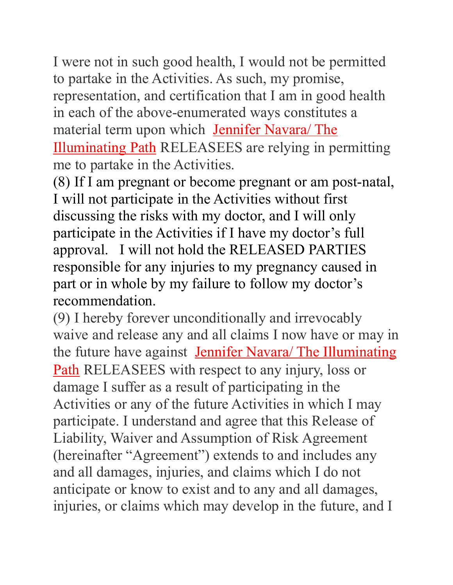I were not in such good health, I would not be permitted to partake in the Activities. As such, my promise, representation, and certification that I am in good health in each of the above-enumerated ways constitutes a material term upon which Jennifer Navara/ The Illuminating Path RELEASEES are relying in permitting me to partake in the Activities.

(8) If I am pregnant or become pregnant or am post-natal, I will not participate in the Activities without first discussing the risks with my doctor, and I will only participate in the Activities if I have my doctor's full approval. I will not hold the RELEASED PARTIES responsible for any injuries to my pregnancy caused in part or in whole by my failure to follow my doctor's recommendation.

(9) I hereby forever unconditionally and irrevocably waive and release any and all claims I now have or may in the future have against Jennifer Navara/ The Illuminating Path RELEASEES with respect to any injury, loss or damage I suffer as a result of participating in the Activities or any of the future Activities in which I may participate. I understand and agree that this Release of Liability, Waiver and Assumption of Risk Agreement (hereinafter "Agreement") extends to and includes any and all damages, injuries, and claims which I do not anticipate or know to exist and to any and all damages, injuries, or claims which may develop in the future, and I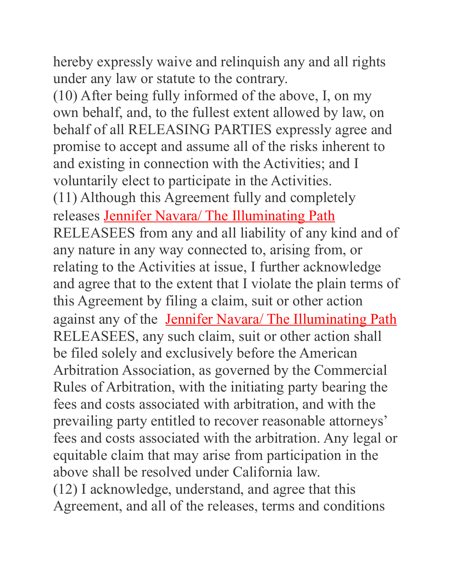hereby expressly waive and relinquish any and all rights under any law or statute to the contrary.

(10) After being fully informed of the above, I, on my own behalf, and, to the fullest extent allowed by law, on behalf of all RELEASING PARTIES expressly agree and promise to accept and assume all of the risks inherent to and existing in connection with the Activities; and I voluntarily elect to participate in the Activities. (11) Although this Agreement fully and completely releases Jennifer Navara/ The Illuminating Path RELEASEES from any and all liability of any kind and of any nature in any way connected to, arising from, or relating to the Activities at issue, I further acknowledge and agree that to the extent that I violate the plain terms of this Agreement by filing a claim, suit or other action against any of the Jennifer Navara/ The Illuminating Path RELEASEES, any such claim, suit or other action shall be filed solely and exclusively before the American Arbitration Association, as governed by the Commercial Rules of Arbitration, with the initiating party bearing the fees and costs associated with arbitration, and with the prevailing party entitled to recover reasonable attorneys' fees and costs associated with the arbitration. Any legal or equitable claim that may arise from participation in the above shall be resolved under California law. (12) I acknowledge, understand, and agree that this Agreement, and all of the releases, terms and conditions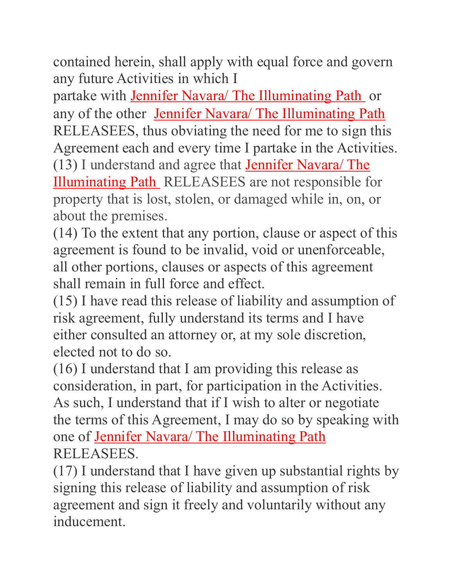contained herein, shall apply with equal force and govern any future Activities in which I

partake with Jennifer Navara/ The Illuminating Path or any of the other Jennifer Navara/ The Illuminating Path RELEASEES, thus obviating the need for me to sign this Agreement each and every time I partake in the Activities. (13) I understand and agree that **Jennifer Navara**/ The Illuminating Path RELEASEES are not responsible for property that is lost, stolen, or damaged while in, on, or about the premises.

(14) To the extent that any portion, clause or aspect of this agreement is found to be invalid, void or unenforceable, all other portions, clauses or aspects of this agreement shall remain in full force and effect.

(15) I have read this release of liability and assumption of risk agreement, fully understand its terms and I have either consulted an attorney or, at my sole discretion, elected not to do so.

(16) I understand that I am providing this release as consideration, in part, for participation in the Activities. As such, I understand that if I wish to alter or negotiate the terms of this Agreement, I may do so by speaking with one of Jennifer Navara/ The Illuminating Path RELEASEES.

(17) I understand that I have given up substantial rights by signing this release of liability and assumption of risk agreement and sign it freely and voluntarily without any inducement.